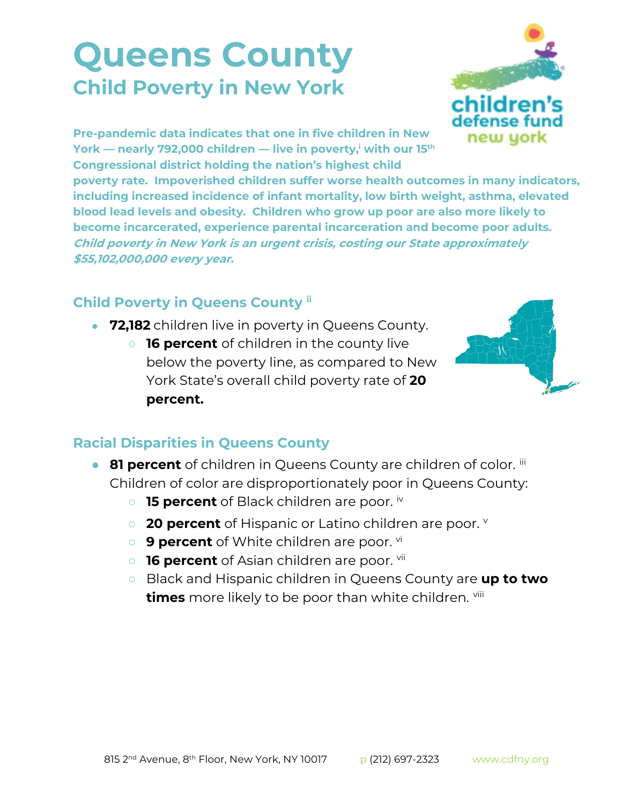## **Queens County Child Poverty in New York**



**Pre-pandemic data indicates that one in five children in New York — nearly 792,000 children — live in poverty,<sup>i</sup> with our 15th Congressional district holding the nation's highest child** 

**poverty rate. Impoverished children suffer worse health outcomes in many indicators, including increased incidence of infant mortality, low birth weight, asthma, elevated blood lead levels and obesity. Children who grow up poor are also more likely to become incarcerated, experience parental incarceration and become poor adults. Child poverty in New York is an urgent crisis, costing our State approximately \$55,102,000,000 every year.**

## **Child Poverty in Queens County ii**

- **72,182** children live in poverty in Queens County.
	- **16 percent** of children in the county live below the poverty line, as compared to New York State's overall child poverty rate of **20 percent.**



## **Racial Disparities in Queens County**

- **81 percent** of children in Queens County are children of color. iii Children of color are disproportionately poor in Queens County:
	- **15 percent** of Black children are poor. iv
	- **20 percent** of Hispanic or Latino children are poor.
	- **9 percent** of White children are poor. <sup>vi</sup>
	- **16 percent** of Asian children are poor. <sup>vii</sup>
	- Black and Hispanic children in Queens County are **up to two times** more likely to be poor than white children. viii